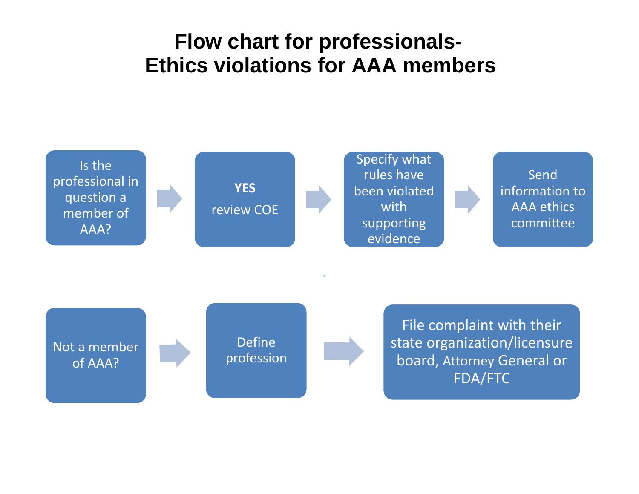## **Flow chart for professionals-Ethics violations for AAA members**

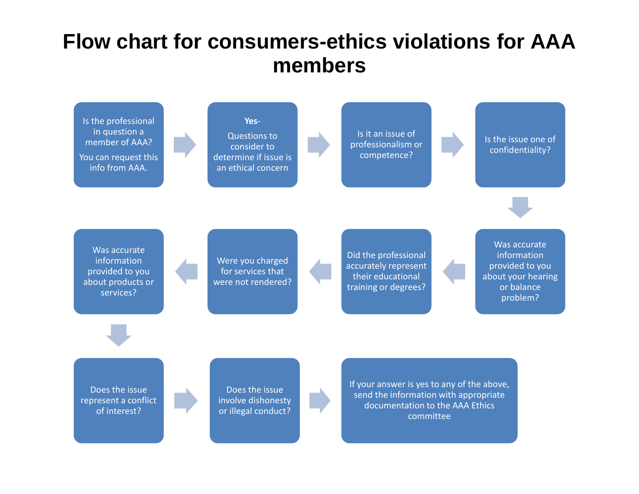## **Flow chart for consumers-ethics violations for AAA members**